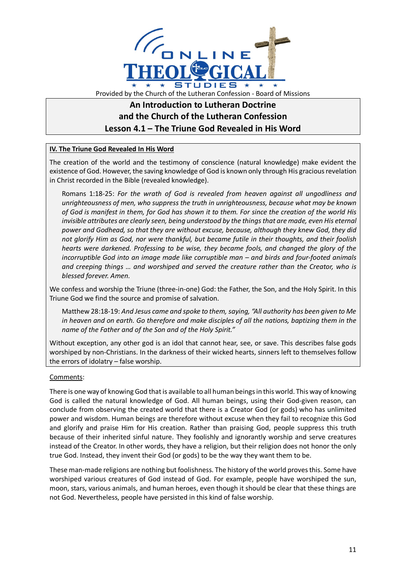

## **An Introduction to Lutheran Doctrine and the Church of the Lutheran Confession Lesson 4.1 – The Triune God Revealed in His Word**

## **IV. The Triune God Revealed In His Word**

The creation of the world and the testimony of conscience (natural knowledge) make evident the existence of God. However, the saving knowledge of God is known only through His gracious revelation in Christ recorded in the Bible (revealed knowledge).

Romans 1:18-25: *For the wrath of God is revealed from heaven against all ungodliness and unrighteousness of men, who suppress the truth in unrighteousness, because what may be known of God is manifest in them, for God has shown it to them. For since the creation of the world His invisible attributes are clearly seen, being understood by the things that are made, even His eternal power and Godhead, so that they are without excuse, because, although they knew God, they did not glorify Him as God, nor were thankful, but became futile in their thoughts, and their foolish hearts were darkened. Professing to be wise, they became fools, and changed the glory of the incorruptible God into an image made like corruptible man – and birds and four-footed animals and creeping things … and worshiped and served the creature rather than the Creator, who is blessed forever. Amen.*

We confess and worship the Triune (three-in-one) God: the Father, the Son, and the Holy Spirit. In this Triune God we find the source and promise of salvation.

Matthew 28:18-19: *And Jesus came and spoke to them, saying, "All authority has been given to Me in heaven and on earth. Go therefore and make disciples of all the nations, baptizing them in the name of the Father and of the Son and of the Holy Spirit."*

Without exception, any other god is an idol that cannot hear, see, or save. This describes false gods worshiped by non-Christians. In the darkness of their wicked hearts, sinners left to themselves follow the errors of idolatry – false worship.

## Comments:

There is one way of knowing God that is available to all human beings in this world. This way of knowing God is called the natural knowledge of God. All human beings, using their God-given reason, can conclude from observing the created world that there is a Creator God (or gods) who has unlimited power and wisdom. Human beings are therefore without excuse when they fail to recognize this God and glorify and praise Him for His creation. Rather than praising God, people suppress this truth because of their inherited sinful nature. They foolishly and ignorantly worship and serve creatures instead of the Creator. In other words, they have a religion, but their religion does not honor the only true God. Instead, they invent their God (or gods) to be the way they want them to be.

These man-made religions are nothing but foolishness. The history of the world proves this. Some have worshiped various creatures of God instead of God. For example, people have worshiped the sun, moon, stars, various animals, and human heroes, even though it should be clear that these things are not God. Nevertheless, people have persisted in this kind of false worship.